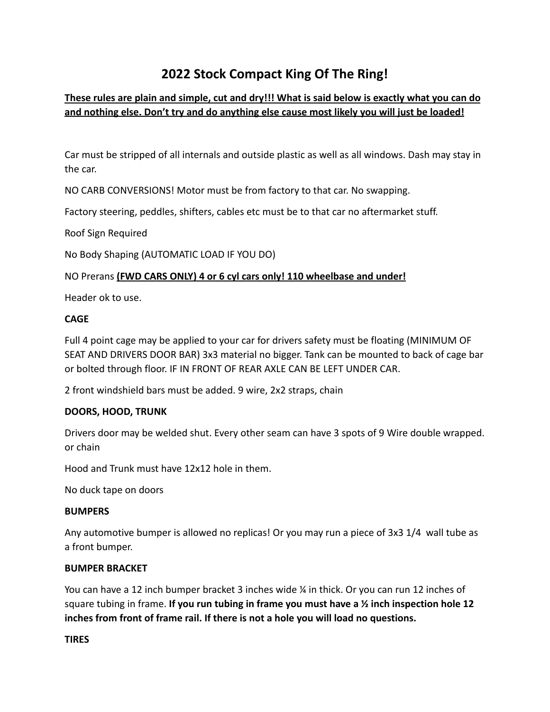# **2022 Stock Compact King Of The Ring!**

# **These rules are plain and simple, cut and dry!!! What is said below is exactly what you can do and nothing else. Don't try and do anything else cause most likely you will just be loaded!**

Car must be stripped of all internals and outside plastic as well as all windows. Dash may stay in the car.

NO CARB CONVERSIONS! Motor must be from factory to that car. No swapping.

Factory steering, peddles, shifters, cables etc must be to that car no aftermarket stuff.

Roof Sign Required

No Body Shaping (AUTOMATIC LOAD IF YOU DO)

# NO Prerans **(FWD CARS ONLY) 4 or 6 cyl cars only! 110 wheelbase and under!**

Header ok to use.

### **CAGE**

Full 4 point cage may be applied to your car for drivers safety must be floating (MINIMUM OF SEAT AND DRIVERS DOOR BAR) 3x3 material no bigger. Tank can be mounted to back of cage bar or bolted through floor. IF IN FRONT OF REAR AXLE CAN BE LEFT UNDER CAR.

2 front windshield bars must be added. 9 wire, 2x2 straps, chain

## **DOORS, HOOD, TRUNK**

Drivers door may be welded shut. Every other seam can have 3 spots of 9 Wire double wrapped. or chain

Hood and Trunk must have 12x12 hole in them.

No duck tape on doors

#### **BUMPERS**

Any automotive bumper is allowed no replicas! Or you may run a piece of 3x3 1/4 wall tube as a front bumper.

#### **BUMPER BRACKET**

You can have a 12 inch bumper bracket 3 inches wide ¼ in thick. Or you can run 12 inches of square tubing in frame. **If you run tubing in frame you must have a ½ inch inspection hole 12 inches from front of frame rail. If there is not a hole you will load no questions.**

#### **TIRES**